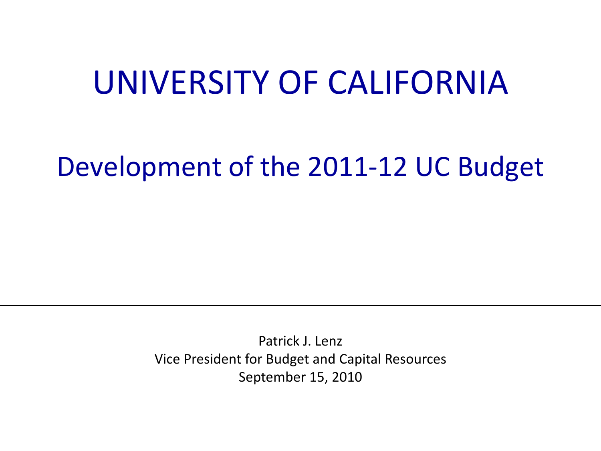#### UNIVERSITY OF CALIFORNIA

#### Development of the 2011-12 UC Budget

Patrick J. Lenz Vice President for Budget and Capital Resources September 15, 2010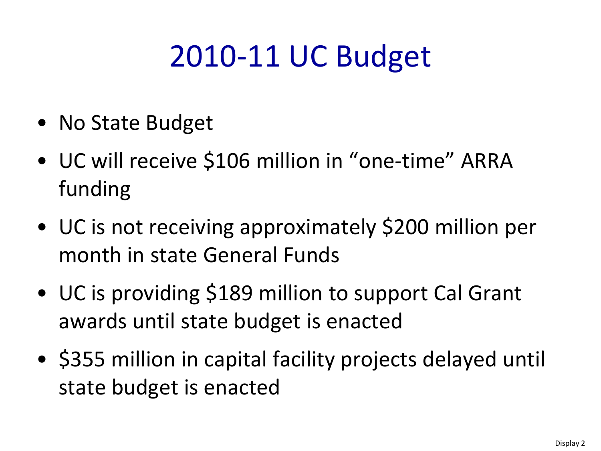## 2010-11 UC Budget

- No State Budget
- UC will receive \$106 million in "one-time" ARRA funding
- UC is not receiving approximately \$200 million per month in state General Funds
- UC is providing \$189 million to support Cal Grant awards until state budget is enacted
- \$355 million in capital facility projects delayed until state budget is enacted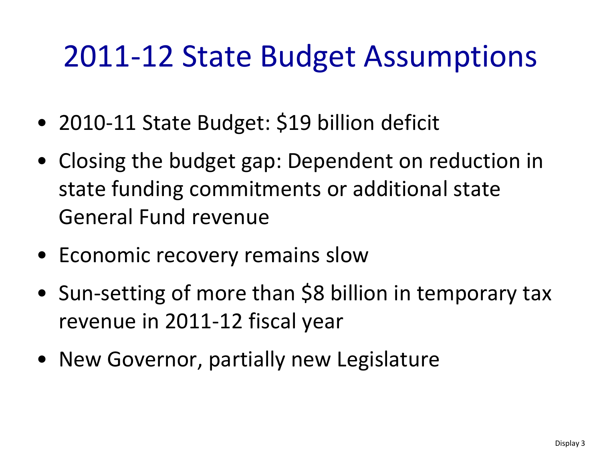#### 2011-12 State Budget Assumptions

- 2010-11 State Budget: \$19 billion deficit
- Closing the budget gap: Dependent on reduction in state funding commitments or additional state General Fund revenue
- Economic recovery remains slow
- Sun-setting of more than \$8 billion in temporary tax revenue in 2011-12 fiscal year
- New Governor, partially new Legislature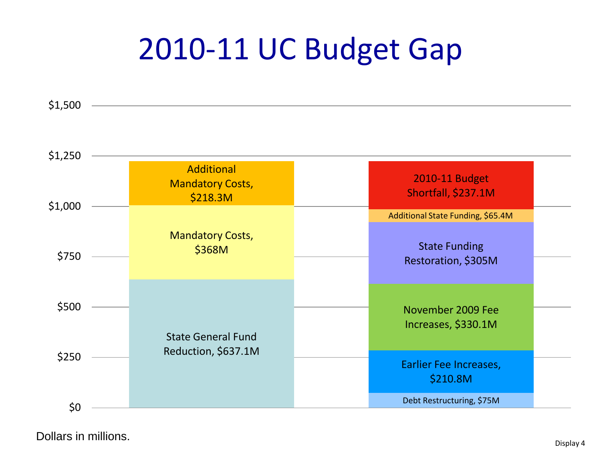#### 2010-11 UC Budget Gap

\$1,500



Dollars in millions.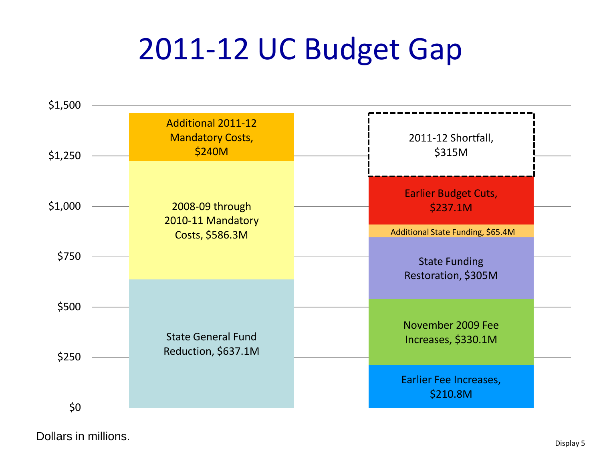#### 2011-12 UC Budget Gap



Dollars in millions.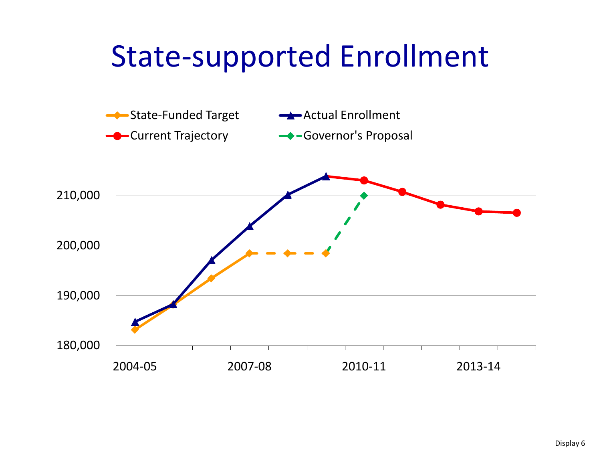#### State-supported Enrollment

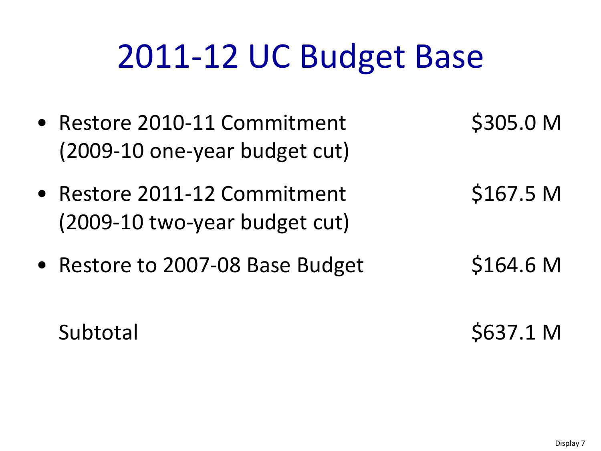# 2011-12 UC Budget Base

- Restore 2010-11 Commitment \$305.0 M (2009-10 one-year budget cut)
- Restore 2011-12 Commitment \$167.5 M (2009-10 two-year budget cut)
- Restore to 2007-08 Base Budget \$164.6 M
- 
- 

Subtotal \$637.1 M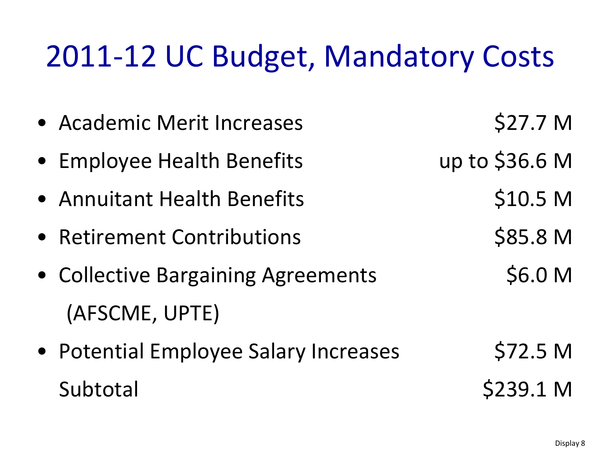#### 2011-12 UC Budget, Mandatory Costs

• Academic Merit Increases \$27.7 M • Employee Health Benefits up to \$36.6 M • Annuitant Health Benefits **\$10.5 M** • Retirement Contributions \$85.8 M • Collective Bargaining Agreements \$6.0 M (AFSCME, UPTE) • Potential Employee Salary Increases \$72.5 M Subtotal \$239.1 M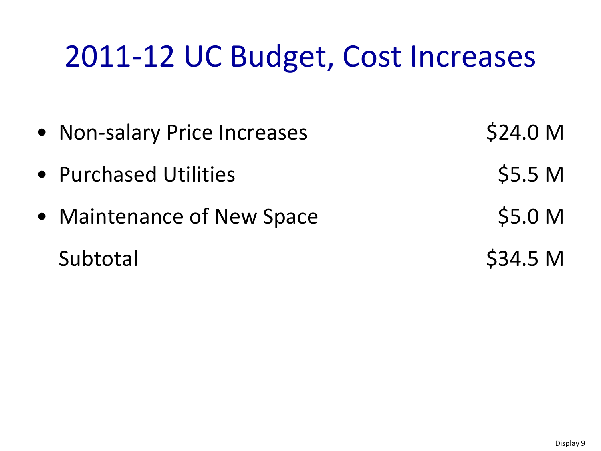#### 2011-12 UC Budget, Cost Increases

• Non-salary Price Increases \$24.0 M • Purchased Utilities **\$5.5 M** • Maintenance of New Space \$5.0 M Subtotal \$34.5 M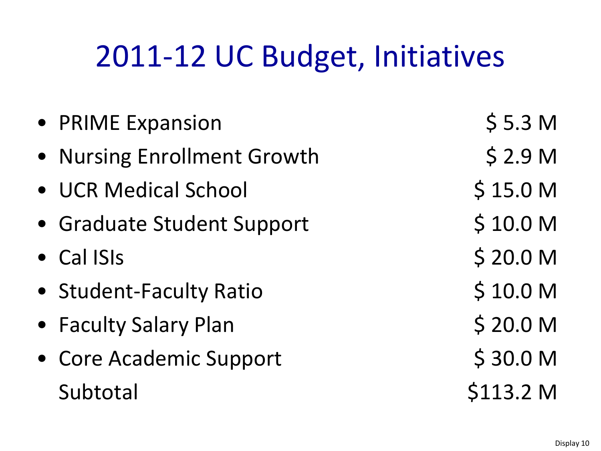## 2011-12 UC Budget, Initiatives

| • PRIME Expansion           | \$5.3 <sub>M</sub>  |
|-----------------------------|---------------------|
| • Nursing Enrollment Growth | \$2.9 <sub>M</sub>  |
| • UCR Medical School        | \$15.0 M            |
| • Graduate Student Support  | \$10.0 M            |
| • Cal ISIs                  | \$20.0 <sub>M</sub> |
| • Student-Faculty Ratio     | \$10.0 M            |
| • Faculty Salary Plan       | \$20.0 <sub>M</sub> |
| • Core Academic Support     | \$30.0 <sub>M</sub> |
| Subtotal                    | \$113.2 M           |
|                             |                     |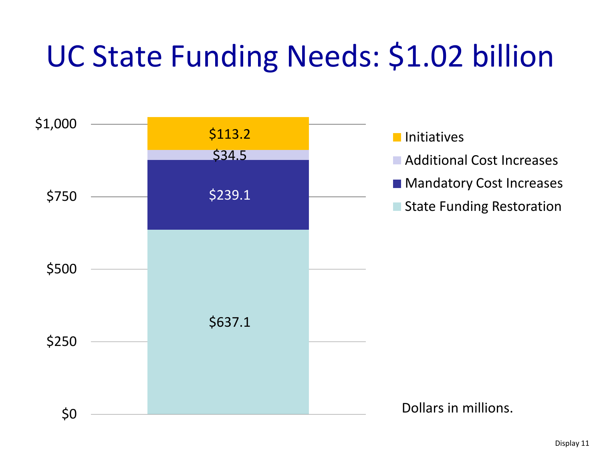## UC State Funding Needs: \$1.02 billion

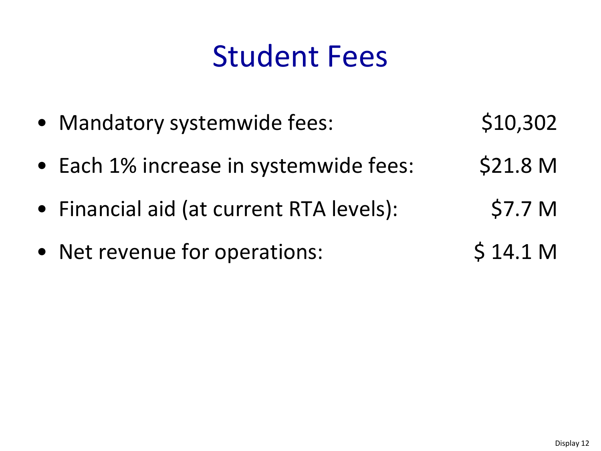#### Student Fees

- Mandatory systemwide fees: \$10,302
- Each 1% increase in systemwide fees: \$21.8 M
- Financial aid (at current RTA levels): \$7.7 M
- Net revenue for operations:  $$ 14.1 M$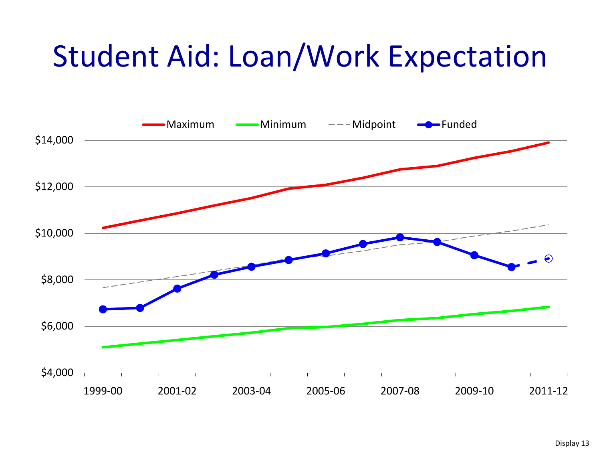#### Student Aid: Loan/Work Expectation

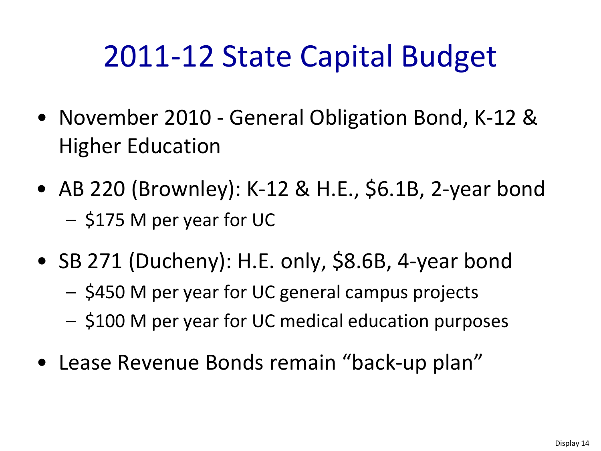#### 2011-12 State Capital Budget

- November 2010 General Obligation Bond, K-12 & Higher Education
- AB 220 (Brownley): K-12 & H.E., \$6.1B, 2-year bond – \$175 M per year for UC
- SB 271 (Ducheny): H.E. only, \$8.6B, 4-year bond – \$450 M per year for UC general campus projects – \$100 M per year for UC medical education purposes
- Lease Revenue Bonds remain "back-up plan"